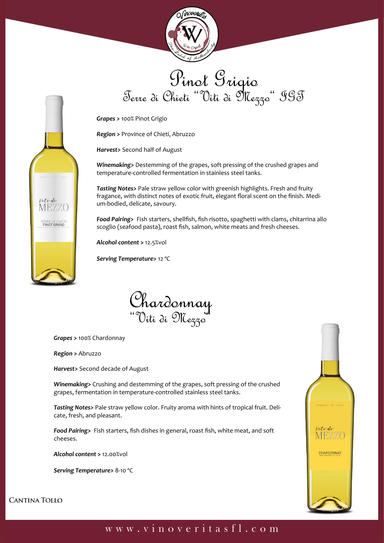

Pinot Grigio<br>Terre di Chieti "Viti di Mezzo" IGT

*Grapes >* 100% Pinot Grigio

*Region >* Province of Chieti, Abruzzo

*Harvest>* Second half of August

*Winemaking>* Destemming of the grapes, soft pressing of the crushed grapes and temperature-controlled fermentation in stainless steel tanks.

*Tasting Notes>* Pale straw yellow color with greenish highlights. Fresh and fruity fragance, with distinct notes of exotic fruit, elegant floral scent on the finish. Medium-bodied, delicate, savoury.

*Food Pairing>* Fish starters, shellfish, fish risotto, spaghetti with clams, chitarrina allo scoglio (seafood pasta), roast fish, salmon, white meats and fresh cheeses.

*Alcohol content* **>** 12.5%vol

*Serving Temperature>* 12 ºC



*Grapes >* 100% Chardonnay

*Region >* Abruzzo

Vitidi **MEZZO** 

ERRE DI CHIETI<br>PINOT GRIGIO

*Harvest>* Second decade of August

*Winemaking>* Crushing and destemming of the grapes, soft pressing of the crushed grapes, fermentation in temperature-controlled stainless steel tanks.

*Tasting Notes>* Pale straw yellow color. Fruity aroma with hints of tropical fruit. Delicate, fresh, and pleasant.

*Food Pairing>* Fish starters, fish dishes in general, roast fish, white meat, and soft cheeses.

*Alcohol content* **>** 12.00%vol

*Serving Temperature>* 8-10 ºC



**CANTINA TOLLO**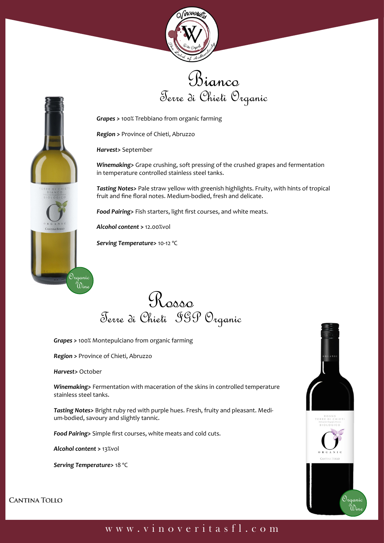





*Grapes >* 100% Trebbiano from organic farming

*Region >* Province of Chieti, Abruzzo

*Harvest>* September

*Winemaking>* Grape crushing, soft pressing of the crushed grapes and fermentation in temperature controlled stainless steel tanks.

*Tasting Notes>* Pale straw yellow with greenish highlights. Fruity, with hints of tropical fruit and fine floral notes. Medium-bodied, fresh and delicate.

*Food Pairing>* Fish starters, light first courses, and white meats.

*Alcohol content* **>** 12.00%vol

*Serving Temperature>* 10-12 ºC



*Grapes >* 100% Montepulciano from organic farming

*Region >* Province of Chieti, Abruzzo

*Harvest>* October

*Winemaking>* Fermentation with maceration of the skins in controlled temperature stainless steel tanks.

*Tasting Notes>* Bright ruby red with purple hues. Fresh, fruity and pleasant. Medium-bodied, savoury and slightly tannic.

*Food Pairing>* Simple first courses, white meats and cold cuts.

*Alcohol content* **>** 13%vol

*Serving Temperature>* 18 ºC



**CANTINA TOLLO**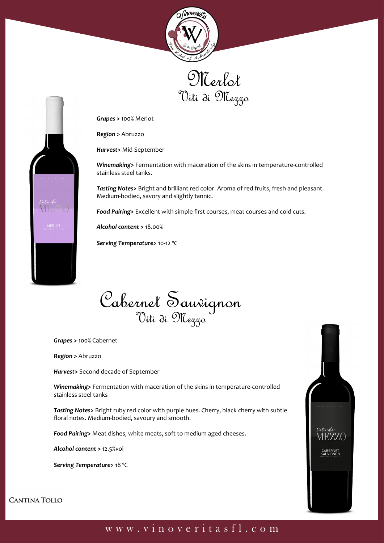





*Grapes >* 100% Merlot

*Region >* Abruzzo

*Harvest>* Mid-September

*Winemaking>* Fermentation with maceration of the skins in temperature-controlled stainless steel tanks.

*Tasting Notes>* Bright and brilliant red color. Aroma of red fruits, fresh and pleasant. Medium-bodied, savory and slightly tannic.

*Food Pairing>* Excellent with simple first courses, meat courses and cold cuts.

*Alcohol content* **>** 18.00%

*Serving Temperature>* 10-12 ºC

Cabernel Sauvignon

*Grapes >* 100% Cabernet

*Region >* Abruzzo

*Harvest>* Second decade of September

*Winemaking>* Fermentation with maceration of the skins in temperature-controlled stainless steel tanks

*Tasting Notes>* Bright ruby red color with purple hues. Cherry, black cherry with subtle floral notes. Medium-bodied, savoury and smooth.

*Food Pairing>* Meat dishes, white meats, soft to medium aged cheeses.

*Alcohol content* **>** 12.5%vol

*Serving Temperature>* 18 ºC



**CANTINA TOLLO**